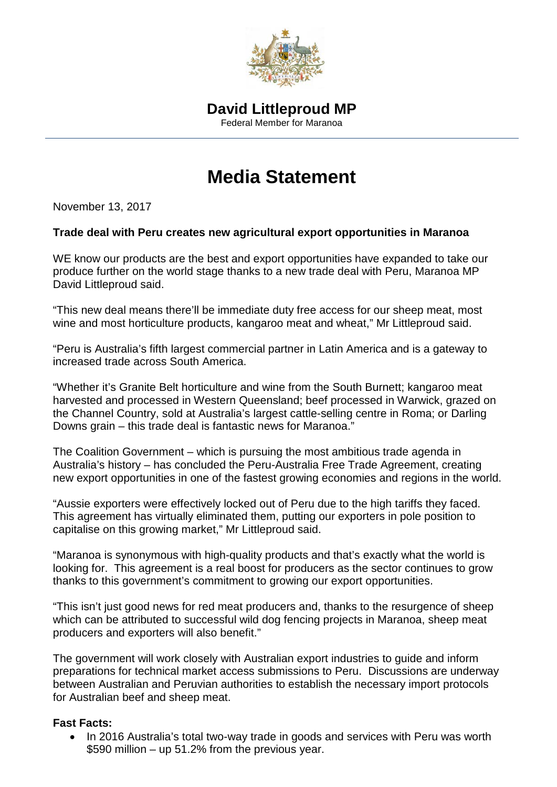

## **Media Statement**

November 13, 2017

## **Trade deal with Peru creates new agricultural export opportunities in Maranoa**

WE know our products are the best and export opportunities have expanded to take our produce further on the world stage thanks to a new trade deal with Peru, Maranoa MP David Littleproud said.

"This new deal means there'll be immediate duty free access for our sheep meat, most wine and most horticulture products, kangaroo meat and wheat," Mr Littleproud said.

"Peru is Australia's fifth largest commercial partner in Latin America and is a gateway to increased trade across South America.

"Whether it's Granite Belt horticulture and wine from the South Burnett; kangaroo meat harvested and processed in Western Queensland; beef processed in Warwick, grazed on the Channel Country, sold at Australia's largest cattle-selling centre in Roma; or Darling Downs grain – this trade deal is fantastic news for Maranoa."

The Coalition Government – which is pursuing the most ambitious trade agenda in Australia's history – has concluded the Peru-Australia Free Trade Agreement, creating new export opportunities in one of the fastest growing economies and regions in the world.

"Aussie exporters were effectively locked out of Peru due to the high tariffs they faced. This agreement has virtually eliminated them, putting our exporters in pole position to capitalise on this growing market," Mr Littleproud said.

"Maranoa is synonymous with high-quality products and that's exactly what the world is looking for. This agreement is a real boost for producers as the sector continues to grow thanks to this government's commitment to growing our export opportunities.

"This isn't just good news for red meat producers and, thanks to the resurgence of sheep which can be attributed to successful wild dog fencing projects in Maranoa, sheep meat producers and exporters will also benefit."

The government will work closely with Australian export industries to guide and inform preparations for technical market access submissions to Peru. Discussions are underway between Australian and Peruvian authorities to establish the necessary import protocols for Australian beef and sheep meat.

## **Fast Facts:**

• In 2016 Australia's total two-way trade in goods and services with Peru was worth \$590 million – up 51.2% from the previous year.